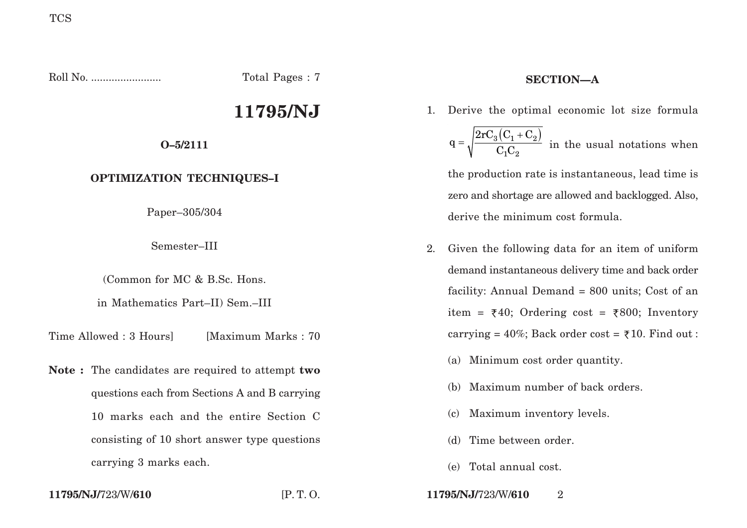Roll No. ........................ Total Pages : 7

# **11795/NJ**

**O–5/2111**

# **OPTIMIZATION TECHNIQUES–I**

Paper–305/304

Semester–III

(Common for MC & B.Sc. Hons.

in Mathematics Part–II) Sem.–III

Time Allowed : 3 Hours [Maximum Marks : 70]

**Note :** The candidates are required to attempt **two** questions each from Sections A and B carrying 10 marks each and the entire Section C consisting of 10 short answer type questions carrying 3 marks each.

# **SECTION—A**

- 1. Derive the optimal economic lot size formula  $_3 \big( \mathrm{C}_1 + \mathrm{C}_2 \big)$ 1 $^{\small\textsf{U}}2$  $2rC_2$  (  $C_1 + C$  $q = \sqrt{\frac{C_1 C}{C_1 C}}$ +  $=\sqrt{2a}$  in the usual notations when the production rate is instantaneous, lead time is zero and shortage are allowed and backlogged. Also, derive the minimum cost formula.
- 2. Given the following data for an item of uniform demand instantaneous delivery time and back order facility: Annual Demand = 800 units; Cost of an item =  $\overline{\xi}40$ ; Ordering cost =  $\overline{\xi}800$ ; Inventory carrying =  $40\%$ ; Back order cost =  $\overline{5}10$ . Find out :
	- (a) Minimum cost order quantity.
	- (b) Maximum number of back orders.
	- (c) Maximum inventory levels.
	- (d) Time between order.
	- (e) Total annual cost.

**11795/NJ/**723/W/**610** [P. T. O. **11795/NJ/**723/W/**610** 2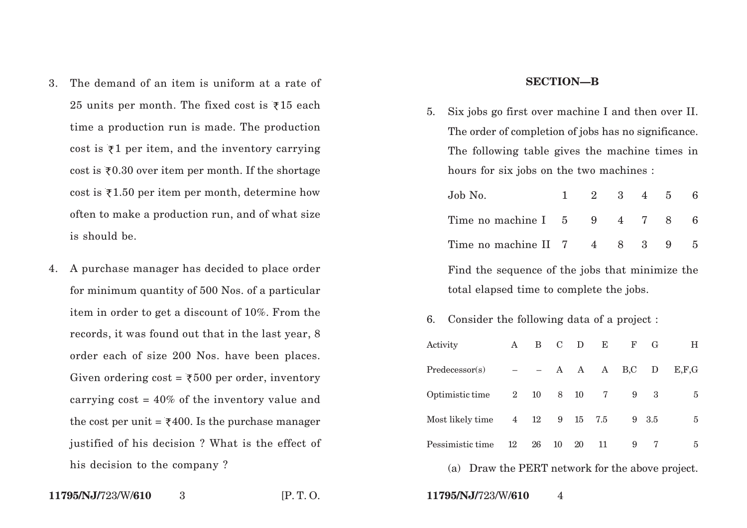- 3. The demand of an item is uniform at a rate of 25 units per month. The fixed cost is  $\bar{\tau}$ 15 each time a production run is made. The production cost is  $\bar{\tau}$ 1 per item, and the inventory carrying cost is  $zeta 0.30$  over item per month. If the shortage cost is  $z$ 1.50 per item per month, determine how often to make a production run, and of what size is should be.
- 4. A purchase manager has decided to place order for minimum quantity of 500 Nos. of a particular item in order to get a discount of 10%. From the records, it was found out that in the last year, 8 order each of size 200 Nos. have been places. Given ordering  $\text{cost}$  = ₹500 per order, inventory carrying  $cost = 40\%$  of the inventory value and the cost per unit =  $\xi$ 400. Is the purchase manager justified of his decision ? What is the effect of his decision to the company ?

### **SECTION—B**

5. Six jobs go first over machine I and then over II. The order of completion of jobs has no significance. The following table gives the machine times in hours for six jobs on the two machines :

| Job No.                                         |  | $1 \t2 \t3 \t4 \t5$ |  |  |  |   |
|-------------------------------------------------|--|---------------------|--|--|--|---|
| Time no machine I 5 9 4 7 8                     |  |                     |  |  |  | 6 |
| Time no machine II 7 4 8 3 9 5                  |  |                     |  |  |  |   |
| Find the sequence of the jobs that minimize the |  |                     |  |  |  |   |
| total elapsed time to complete the jobs.        |  |                     |  |  |  |   |

6. Consider the following data of a project :

| Activity         | A           | B                        | $\mathbf C$ | D   | E              | $_{\rm F}$ | G     | н     |
|------------------|-------------|--------------------------|-------------|-----|----------------|------------|-------|-------|
| Predecessary(s)  |             | $\overline{\phantom{0}}$ |             | A A | $\mathbf{A}$   | B, C       | D     | E.F.G |
| Optimistic time  | $2^{\circ}$ | 10                       | 8           | 10  | $\overline{7}$ | 9          | 3     | 5     |
| Most likely time |             | $4$ 12                   | 9           | 15  | 7.5            |            | 9 3.5 | 5     |
| Pessimistic time | 12          | 26                       | 10          | 20  | 11             | 9          |       | 5     |

(a) Draw the PERT network for the above project.

3 [P. T. O. **11795/NJ/**723/W/**610** 4

**11795/NJ/**723/W/**610**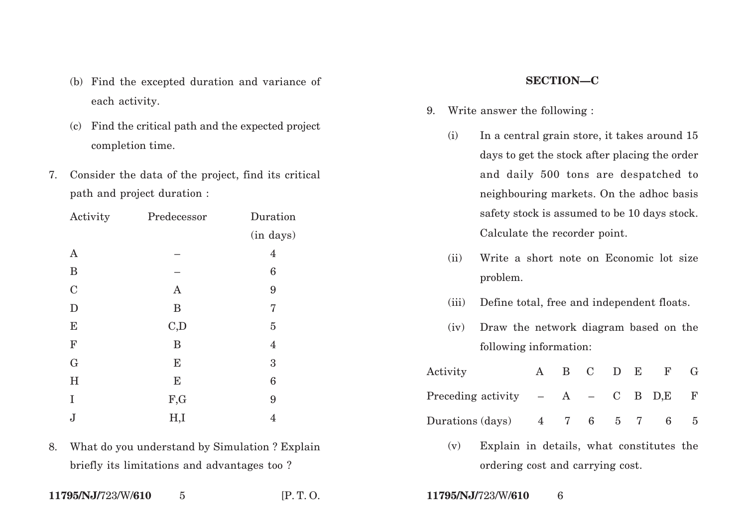- (b) Find the excepted duration and variance of each activity.
- (c) Find the critical path and the expected project completion time.
- 7. Consider the data of the project, find its critical path and project duration :

| Activity      | Predecessor  | Duration         |
|---------------|--------------|------------------|
|               |              | (in days)        |
| $\mathbf{A}$  |              | 4                |
| B             |              | 6                |
| $\mathcal{C}$ | $\mathbf{A}$ | 9                |
| $\mathbf D$   | B            | 7                |
| E             | C,D          | $\overline{5}$   |
| $\mathbf F$   | B            | $\overline{4}$   |
| G             | E            | $\boldsymbol{3}$ |
| $H_{\rm}$     | $\bf E$      | $\boldsymbol{6}$ |
| I             | F,G          | 9                |
| J             | H,I          | 4                |

8. What do you understand by Simulation ? Explain briefly its limitations and advantages too ?

### **11795/NJ/**723/W/**610** 5 [P. T. O. **11795/NJ/**723/W/**610** 6

## **SECTION—C**

- 9. Write answer the following :
	- (i) In a central grain store, it takes around 15 days to get the stock after placing the order and daily 500 tons are despatched to neighbouring markets. On the adhoc basis safety stock is assumed to be 10 days stock. Calculate the recorder point.
	- (ii) Write a short note on Economic lot size problem.
	- (iii) Define total, free and independent floats.
	- (iv) Draw the network diagram based on the following information:

| Activity                             |           | B C D E |  | $\mathbf{F}$ |  |
|--------------------------------------|-----------|---------|--|--------------|--|
| Preceding activity $- A - C B D,E F$ |           |         |  |              |  |
| Durations (days)                     | 4 7 6 5 7 |         |  |              |  |

(v) Explain in details, what constitutes the ordering cost and carrying cost.